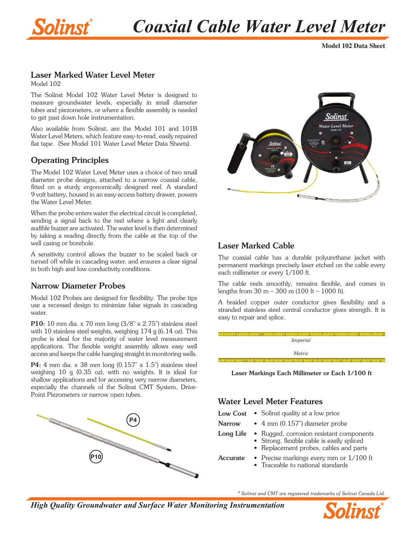

# *Coaxial Cable Water Level Meter*

**Model 102 Data Sheet**

## Laser Marked Water Level Meter

Model 102

The Solinst Model 102 Water Level Meter is designed to measure groundwater levels, especially in small diameter tubes and piezometers, or where a flexible assembly is needed to get past down hole instrumentation.

Also available from Solinst, are the Model 101 and 101B Water Level Meters, which feature easy-to-read, easily repaired flat tape. (See Model 101 Water Level Meter Data Sheets).

## Operating Principles

The Model 102 Water Level Meter uses a choice of two small diameter probe designs, attached to a narrow coaxial cable, fitted on a sturdy ergonomically designed reel. A standard 9 volt battery, housed in an easy-access battery drawer, powers the Water Level Meter.

When the probe enters water the electrical circuit is completed, sending a signal back to the reel where a light and clearly audible buzzer are activated. The water level is then determined by taking a reading directly from the cable at the top of the well casing or borehole.

A sensitivity control allows the buzzer to be scaled back or turned off while in cascading water, and ensures a clear signal in both high and low conductivity conditions.

#### Narrow Diameter Probes

Model 102 Probes are designed for flexibility. The probe tips use a recessed design to minimize false signals in cascading water.

P10: 10 mm dia. x 70 mm long (3/8" x 2.75") stainless steel with 10 stainless steel weights, weighing  $174$  g (6.14 oz). This probe is ideal for the majority of water level measurement applications. The flexible weight assembly allows easy well access and keeps the cable hanging straight in monitoring wells.

P4: 4 mm dia. x 38 mm long (0.157" x 1.5") stainless steel weighing 10 g (0.35 oz), with no weights. It is ideal for shallow applications and for accessing very narrow diameters, especially the channels of the Solinst CMT System, Drive-Point Piezometers or narrow open tubes.





## Laser Marked Cable

The coaxial cable has a durable polyurethane jacket with permanent markings precisely laser etched on the cable every each millimeter or every 1/100 ft.

The cable reels smoothly, remains flexible, and comes in lengths from  $30 \text{ m} - 300 \text{ m}$  (100 ft – 1000 ft).

A braided copper outer conductor gives flexibility and a stranded stainless steel central conductor gives strength. It is easy to repair and splice.

*Imperial Metric*

Laser Markings Each Millimeter or Each 1/100 ft

#### Water Level Meter Features

| <b>Low Cost</b> | • Solinst quality at a low price                                                                                                 |
|-----------------|----------------------------------------------------------------------------------------------------------------------------------|
| <b>Narrow</b>   | $\bullet$ 4 mm (0.157") diameter probe                                                                                           |
| Long Life       | • Rugged, corrosion resistant components<br>• Strong, flexible cable is easily spliced<br>• Replacement probes, cables and parts |
| <b>Accurate</b> | • Precise markings every mm or $1/100$ ft<br>• Traceable to national standards                                                   |

*® Solinst and CMT are registered trademarks of Solinst Canada Ltd.*

*High Quality Groundwater and Surface Water Monitoring Instrumentation*